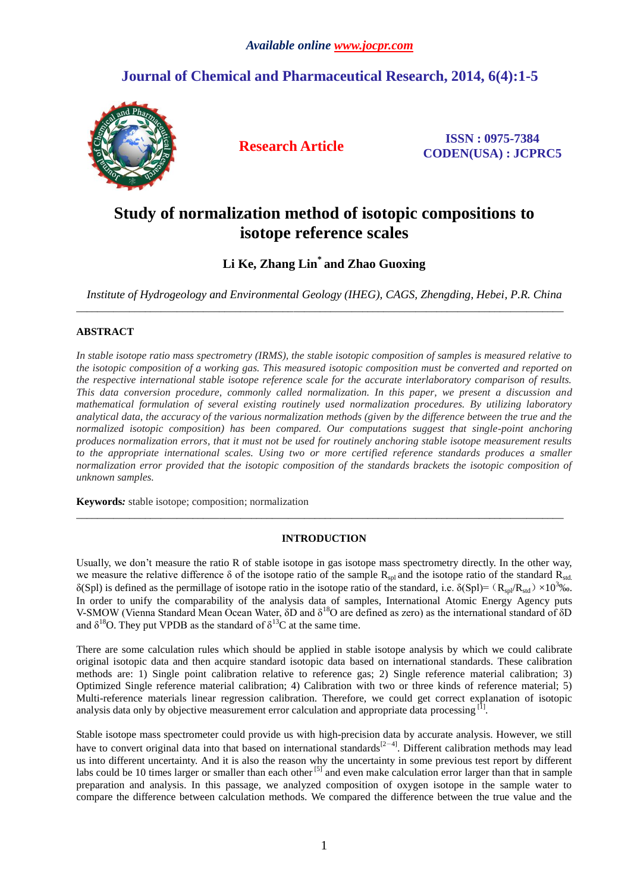# **Journal of Chemical and Pharmaceutical Research, 2014, 6(4):1-5**



**Research Article ISSN : 0975-7384 CODEN(USA) : JCPRC5**

# **Study of normalization method of isotopic compositions to isotope reference scales**

**Li Ke, Zhang Lin\* and Zhao Guoxing**

*Institute of Hydrogeology and Environmental Geology (IHEG), CAGS, Zhengding, Hebei, P.R. China* \_\_\_\_\_\_\_\_\_\_\_\_\_\_\_\_\_\_\_\_\_\_\_\_\_\_\_\_\_\_\_\_\_\_\_\_\_\_\_\_\_\_\_\_\_\_\_\_\_\_\_\_\_\_\_\_\_\_\_\_\_\_\_\_\_\_\_\_\_\_\_\_\_\_\_\_\_\_\_\_\_\_\_\_\_\_\_\_\_\_\_\_

# **ABSTRACT**

*In stable isotope ratio mass spectrometry (IRMS), the stable isotopic composition of samples is measured relative to the isotopic composition of a working gas. This measured isotopic composition must be converted and reported on the respective international stable isotope reference scale for the accurate interlaboratory comparison of results. This data conversion procedure, commonly called normalization. In this paper, we present a discussion and mathematical formulation of several existing routinely used normalization procedures. By utilizing laboratory analytical data, the accuracy of the various normalization methods (given by the difference between the true and the normalized isotopic composition) has been compared. Our computations suggest that single-point anchoring produces normalization errors, that it must not be used for routinely anchoring stable isotope measurement results*  to the appropriate international scales. Using two or more certified reference standards produces a smaller *normalization error provided that the isotopic composition of the standards brackets the isotopic composition of unknown samples.*

**Keywords***:* stable isotope; composition; normalization

# **INTRODUCTION**

\_\_\_\_\_\_\_\_\_\_\_\_\_\_\_\_\_\_\_\_\_\_\_\_\_\_\_\_\_\_\_\_\_\_\_\_\_\_\_\_\_\_\_\_\_\_\_\_\_\_\_\_\_\_\_\_\_\_\_\_\_\_\_\_\_\_\_\_\_\_\_\_\_\_\_\_\_\_\_\_\_\_\_\_\_\_\_\_\_\_\_\_

Usually, we don't measure the ratio R of stable isotope in gas isotope mass spectrometry directly. In the other way, we measure the relative difference  $\delta$  of the isotope ratio of the sample  $R_{sol}$  and the isotope ratio of the standard  $R_{std}$ . δ(Spl) is defined as the permillage of isotope ratio in the isotope ratio of the standard, i.e. δ(Spl)=(R<sub>spl</sub>/R<sub>std</sub>) ×10<sup>3</sup>‰. In order to unify the comparability of the analysis data of samples, International Atomic Energy Agency puts V-SMOW (Vienna Standard Mean Ocean Water, δD and δ<sup>18</sup>O are defined as zero) as the international standard of δD and  $\delta^{18}$ O. They put VPDB as the standard of  $\delta^{13}$ C at the same time.

There are some calculation rules which should be applied in stable isotope analysis by which we could calibrate original isotopic data and then acquire standard isotopic data based on international standards. These calibration methods are: 1) Single point calibration relative to reference gas; 2) Single reference material calibration; 3) Optimized Single reference material calibration; 4) Calibration with two or three kinds of reference material; 5) Multi-reference materials linear regression calibration. Therefore, we could get correct explanation of isotopic analysis data only by objective measurement error calculation and appropriate data processing  $^{[1]}$ .

Stable isotope mass spectrometer could provide us with high-precision data by accurate analysis. However, we still have to convert original data into that based on international standards $[2-4]$ . Different calibration methods may lead us into different uncertainty. And it is also the reason why the uncertainty in some previous test report by different labs could be 10 times larger or smaller than each other <sup>[5]</sup> and even make calculation error larger than that in sample preparation and analysis. In this passage, we analyzed composition of oxygen isotope in the sample water to compare the difference between calculation methods. We compared the difference between the true value and the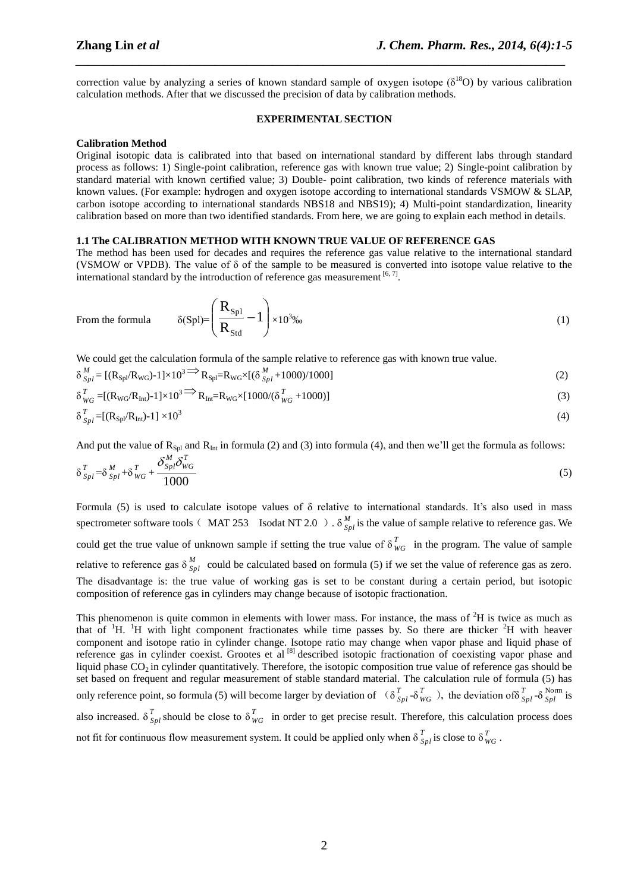correction value by analyzing a series of known standard sample of oxygen isotope ( $\delta^{18}O$ ) by various calibration calculation methods. After that we discussed the precision of data by calibration methods.

*\_\_\_\_\_\_\_\_\_\_\_\_\_\_\_\_\_\_\_\_\_\_\_\_\_\_\_\_\_\_\_\_\_\_\_\_\_\_\_\_\_\_\_\_\_\_\_\_\_\_\_\_\_\_\_\_\_\_\_\_\_\_\_\_\_\_\_\_\_\_\_\_\_\_\_\_\_*

#### **EXPERIMENTAL SECTION**

#### **Calibration Method**

From the fo

Original isotopic data is calibrated into that based on international standard by different labs through standard process as follows: 1) Single-point calibration, reference gas with known true value; 2) Single-point calibration by standard material with known certified value; 3) Double- point calibration, two kinds of reference materials with known values. (For example: hydrogen and oxygen isotope according to international standards VSMOW & SLAP, carbon isotope according to international standards NBS18 and NBS19); 4) Multi-point standardization, linearity calibration based on more than two identified standards. From here, we are going to explain each method in details.

### **1.1 The CALIBRATION METHOD WITH KNOWN TRUE VALUE OF REFERENCE GAS**

The method has been used for decades and requires the reference gas value relative to the international standard (VSMOW or VPDB). The value of δ of the sample to be measured is converted into isotope value relative to the international standard by the introduction of reference gas measurement  $[6, 7]$ .

rmula 
$$
\delta(Spl) = \left(\frac{R_{Spl}}{R_{Std}} - 1\right) \times 10^{3\%}
$$
 (1)

We could get the calculation formula of the sample relative to reference gas with known true value.

$$
\delta_{Spl}^M = \left[ (R_{spl}/R_{WG}) - 1 \right] \times 10^3 \Longrightarrow R_{Spl} = R_{WG} \times \left[ (\delta_{Spl}^M + 1000) / 1000 \right] \tag{2}
$$

$$
\delta_{WG}^{T} = \left[ (\mathbf{R}_{WG} / \mathbf{R}_{Int}) - 1 \right] \times 10^{3} \Longrightarrow \mathbf{R}_{Int} = \mathbf{R}_{WG} \times \left[ 1000 / (\delta_{WG}^{T} + 1000) \right] \tag{3}
$$

$$
\delta_{Spl}^T = \left[ (R_{Spl}/R_{\rm Int}) - 1 \right] \times 10^3 \tag{4}
$$

And put the value of  $R_{Spl}$  and  $R_{Int}$  in formula (2) and (3) into formula (4), and then we'll get the formula as follows:

$$
\delta_{Spl}^T = \delta_{Spl}^M + \delta_{WG}^T + \frac{\delta_{Spl}^M \delta_{WG}^T}{1000}
$$
\n
$$
\tag{5}
$$

Formula (5) is used to calculate isotope values of  $\delta$  relative to international standards. It's also used in mass spectrometer software tools ( $\overline{MAT}$  253 Isodat NT 2.0 ).  $\delta^M_{S}$  $\frac{M}{Spl}$  is the value of sample relative to reference gas. We could get the true value of unknown sample if setting the true value of  $\delta_u^T$  $W_G$  in the program. The value of sample relative to reference gas  $\delta_{S_R}^M$  $S_{p_l}$  could be calculated based on formula (5) if we set the value of reference gas as zero. The disadvantage is: the true value of working gas is set to be constant during a certain period, but isotopic composition of reference gas in cylinders may change because of isotopic fractionation.

This phenomenon is quite common in elements with lower mass. For instance, the mass of  ${}^{2}H$  is twice as much as that of  $H$ . <sup>1</sup>H. <sup>1</sup>H with light component fractionates while time passes by. So there are thicker  $2H$  with heaver component and isotope ratio in cylinder change. Isotope ratio may change when vapor phase and liquid phase of reference gas in cylinder coexist. Grootes et al [8] described isotopic fractionation of coexisting vapor phase and liquid phase  $CO_2$  in cylinder quantitatively. Therefore, the isotopic composition true value of reference gas should be set based on frequent and regular measurement of stable standard material. The calculation rule of formula (5) has only reference point, so formula (5) will become larger by deviation of  $\left(\delta_5\right)$ *Spl* -δ *T*  $V_{WG}^{T}$ ), the deviation of  $\delta_S^{T}$  $T$ <sub>*Spl*</sub> -δ *Spl Spl* is also increased.  $\delta^T$ <sub>S</sub>  $T_{Spl}$  should be close to  $\delta_W^T$  $W_{\text{WG}}$  in order to get precise result. Therefore, this calculation process does not fit for continuous flow measurement system. It could be applied only when  $\delta_5^T$  $T_{Spl}$  is close to  $\delta$ <sup>T</sup><sub>*W*</sub> *WG* .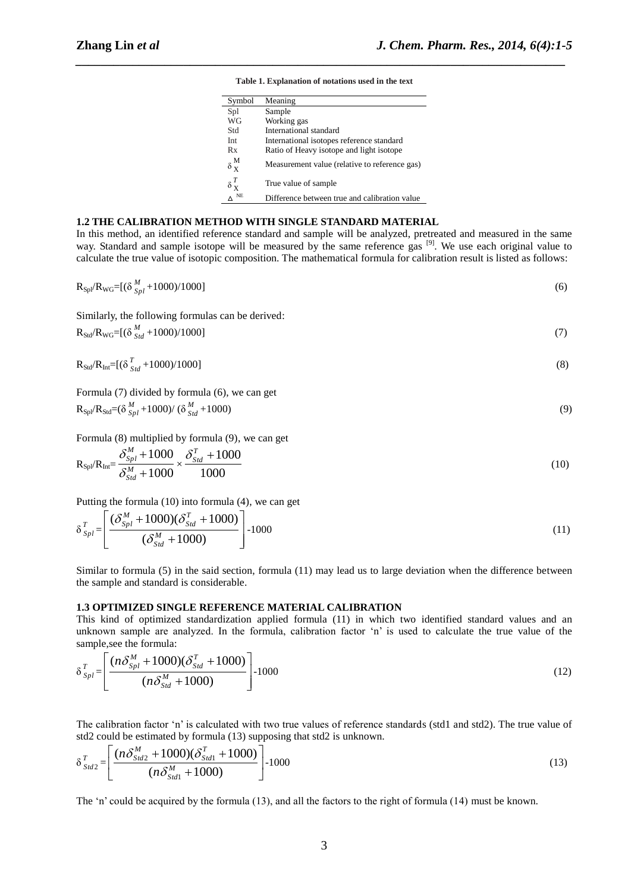#### **Table 1. Explanation of notations used in the text**

*\_\_\_\_\_\_\_\_\_\_\_\_\_\_\_\_\_\_\_\_\_\_\_\_\_\_\_\_\_\_\_\_\_\_\_\_\_\_\_\_\_\_\_\_\_\_\_\_\_\_\_\_\_\_\_\_\_\_\_\_\_\_\_\_\_\_\_\_\_\_\_\_\_\_\_\_\_*

| Symbol                    | Meaning                                       |
|---------------------------|-----------------------------------------------|
| Spl                       | Sample                                        |
| WG                        | Working gas                                   |
| Std                       | International standard                        |
| Int.                      | International isotopes reference standard     |
| Rx                        | Ratio of Heavy isotope and light isotope      |
| $\delta\frac{M}{X}$       | Measurement value (relative to reference gas) |
| $\delta_{\mathbf{X}}^{T}$ | True value of sample                          |
| NΕ                        | Difference between true and calibration value |

# **1.2 THE CALIBRATION METHOD WITH SINGLE STANDARD MATERIAL**

In this method, an identified reference standard and sample will be analyzed, pretreated and measured in the same way. Standard and sample isotope will be measured by the same reference gas [9]. We use each original value to calculate the true value of isotopic composition. The mathematical formula for calibration result is listed as follows:

| $R_{\text{Spl}}/R_{\text{WG}}=[(\delta\frac{M}{S_{\text{spl}}}+1000)/1000]$                       | (6) |
|---------------------------------------------------------------------------------------------------|-----|
| Similarly, the following formulas can be derived:                                                 |     |
| $R_{\text{Std}}/R_{\text{WG}} = [(\delta \frac{M}{s_{td}} + 1000)/1000]$                          | (7) |
| $R_{Std}/R_{Int}=[(\delta_{Std}^{T}+1000)/1000]$                                                  | (8) |
| Formula (7) divided by formula (6), we can get                                                    |     |
| $R_{\text{Spl}}/R_{\text{Std}} = (\delta_{\text{Spl}}^M + 1000) / (\delta_{\text{Std}}^M + 1000)$ | (9) |

Formula (8) multiplied by formula (9), we can get

$$
R_{\text{Spl}}/R_{\text{Int}} = \frac{\delta_{\text{Spl}}^M + 1000}{\delta_{\text{Std}}^M + 1000} \times \frac{\delta_{\text{Std}}^T + 1000}{1000} \tag{10}
$$

Putting the formula (10) into formula (4), we can get

$$
\delta_{Spl}^T = \left[ \frac{(\delta_{Spl}^M + 1000)(\delta_{Sld}^T + 1000)}{(\delta_{Sld}^M + 1000)} \right] - 1000 \tag{11}
$$

Similar to formula (5) in the said section, formula (11) may lead us to large deviation when the difference between the sample and standard is considerable.

# **1.3 OPTIMIZED SINGLE REFERENCE MATERIAL CALIBRATION**

This kind of optimized standardization applied formula (11) in which two identified standard values and an unknown sample are analyzed. In the formula, calibration factor 'n' is used to calculate the true value of the sample,see the formula:

$$
\delta_{Spl}^T = \left[ \frac{(n\delta_{Spl}^M + 1000)(\delta_{Std}^T + 1000)}{(n\delta_{Std}^M + 1000)} \right] - 1000
$$
\n(12)

The calibration factor 'n' is calculated with two true values of reference standards (std1 and std2). The true value of std2 could be estimated by formula (13) supposing that std2 is unknown.

$$
\delta_{Std2}^T = \left[ \frac{(n\delta_{Std2}^M + 1000)(\delta_{Std1}^T + 1000)}{(n\delta_{Std1}^M + 1000)} \right] - 1000
$$
\n(13)

The 'n' could be acquired by the formula (13), and all the factors to the right of formula (14) must be known.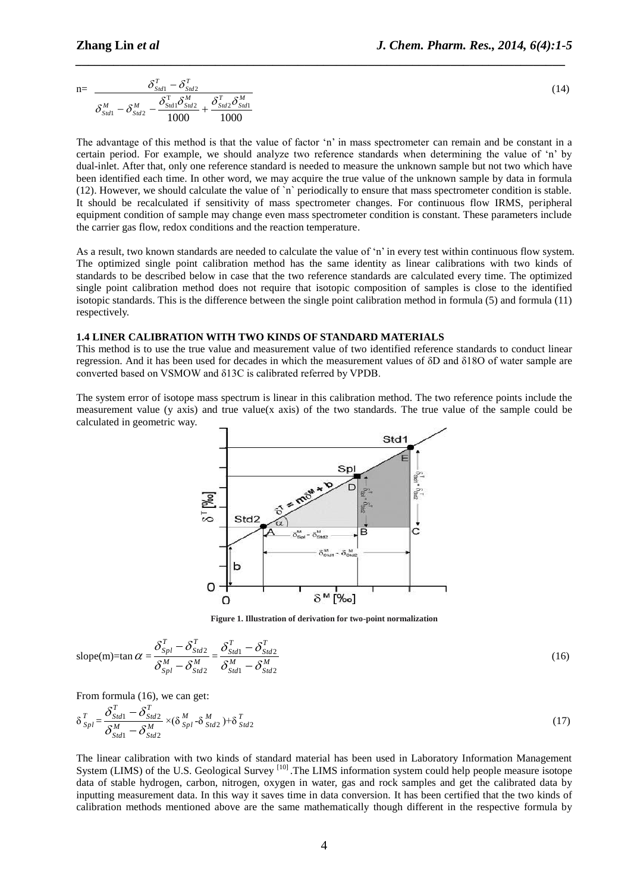$$
n = \frac{\delta_{Std1}^T - \delta_{Std2}^T}{\delta_{Std1}^M - \delta_{Std2}^M - \frac{\delta_{Std1}^T \delta_{Std2}^M}{1000} + \frac{\delta_{Std2}^T \delta_{Std1}^M}{1000}}
$$
(14)

*\_\_\_\_\_\_\_\_\_\_\_\_\_\_\_\_\_\_\_\_\_\_\_\_\_\_\_\_\_\_\_\_\_\_\_\_\_\_\_\_\_\_\_\_\_\_\_\_\_\_\_\_\_\_\_\_\_\_\_\_\_\_\_\_\_\_\_\_\_\_\_\_\_\_\_\_\_*

The advantage of this method is that the value of factor 'n' in mass spectrometer can remain and be constant in a certain period. For example, we should analyze two reference standards when determining the value of 'n' by dual-inlet. After that, only one reference standard is needed to measure the unknown sample but not two which have been identified each time. In other word, we may acquire the true value of the unknown sample by data in formula (12). However, we should calculate the value of `n` periodically to ensure that mass spectrometer condition is stable. It should be recalculated if sensitivity of mass spectrometer changes. For continuous flow IRMS, peripheral equipment condition of sample may change even mass spectrometer condition is constant. These parameters include the carrier gas flow, redox conditions and the reaction temperature.

As a result, two known standards are needed to calculate the value of 'n' in every test within continuous flow system. The optimized single point calibration method has the same identity as linear calibrations with two kinds of standards to be described below in case that the two reference standards are calculated every time. The optimized single point calibration method does not require that isotopic composition of samples is close to the identified isotopic standards. This is the difference between the single point calibration method in formula (5) and formula (11) respectively.

# **1.4 LINER CALIBRATION WITH TWO KINDS OF STANDARD MATERIALS**

This method is to use the true value and measurement value of two identified reference standards to conduct linear regression. And it has been used for decades in which the measurement values of δD and δ18O of water sample are converted based on VSMOW and δ13C is calibrated referred by VPDB.

The system error of isotope mass spectrum is linear in this calibration method. The two reference points include the measurement value (y axis) and true value(x axis) of the two standards. The true value of the sample could be calculated in geometric way.



**Figure 1. Illustration of derivation for two-point normalization**

slope(m)=
$$
\tan \alpha = \frac{\delta_{Spl}^T - \delta_{std2}^T}{\delta_{spl}^M - \delta_{std2}^M} = \frac{\delta_{std1}^T - \delta_{std2}^T}{\delta_{std1}^M - \delta_{std2}^M}
$$
 (16)

From formula (16), we can get:

$$
\delta_{Spl}^T = \frac{\delta_{Std1}^T - \delta_{Std2}^T}{\delta_{Std1}^M - \delta_{Std2}^M} \times (\delta_{Spl}^M \cdot \delta_{Std2}^M) + \delta_{Std2}^T \tag{17}
$$

The linear calibration with two kinds of standard material has been used in Laboratory Information Management System (LIMS) of the U.S. Geological Survey <sup>[10]</sup>. The LIMS information system could help people measure isotope data of stable hydrogen, carbon, nitrogen, oxygen in water, gas and rock samples and get the calibrated data by inputting measurement data. In this way it saves time in data conversion. It has been certified that the two kinds of calibration methods mentioned above are the same mathematically though different in the respective formula by